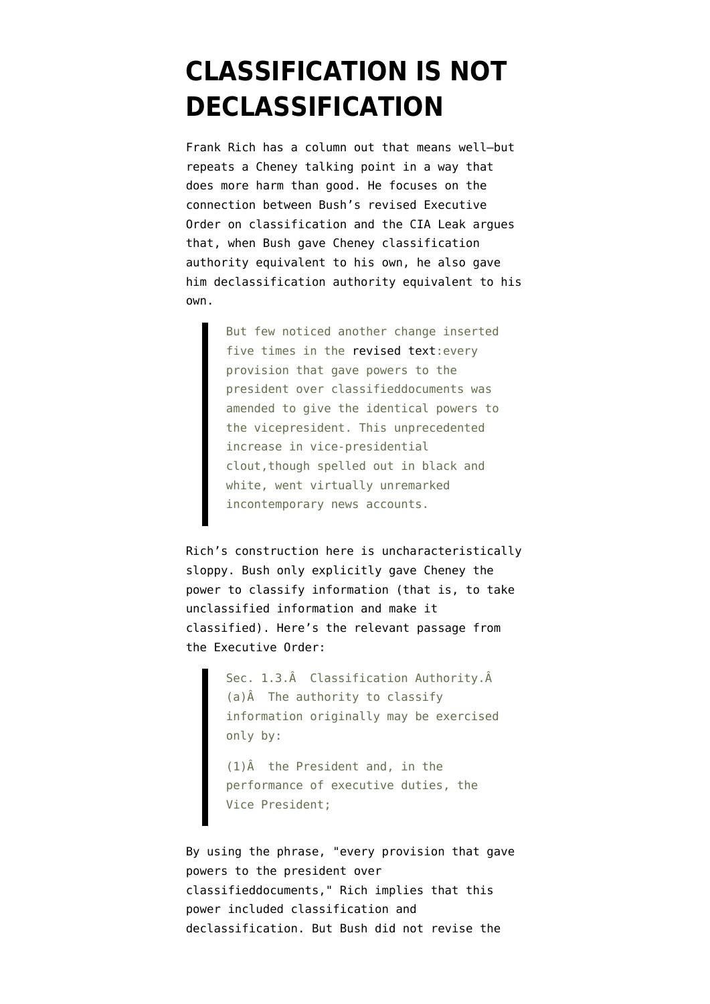## **[CLASSIFICATION IS NOT](https://www.emptywheel.net/2007/07/01/classification-is-not-declassification/) [DECLASSIFICATION](https://www.emptywheel.net/2007/07/01/classification-is-not-declassification/)**

Frank Rich has [a column](http://select.nytimes.com/2007/07/01/opinion/01rich.html?hp) out that means well–but repeats a Cheney talking point in a way that does more harm than good. He focuses on the connection between Bush's [revised Executive](http://www.fas.org/sgp/bush/eoamend.html) [Order](http://www.fas.org/sgp/bush/eoamend.html) on classification and the CIA Leak argues that, when Bush gave Cheney classification authority equivalent to his own, he also gave him declassification authority equivalent to his own.

> But few noticed another change inserted five times in the [revised text:](http://www.fas.org/sgp/bush/eo13292inout.html)every provision that gave powers to the president over classifieddocuments was amended to give the identical powers to the vicepresident. This unprecedented increase in vice-presidential clout,though spelled out in black and white, went virtually unremarked incontemporary news accounts.

Rich's construction here is uncharacteristically sloppy. Bush only explicitly gave Cheney the power to classify information (that is, to take unclassified information and make it classified). Here's the relevant passage from the Executive Order:

> Sec. 1.3. $\hat{A}$  Classification Authority. $\hat{A}$ (a)Â The authority to classify information originally may be exercised only by:

(1)Â the President and, in the performance of executive duties, the Vice President;

By using the phrase, "every provision that gave powers to the president over classifieddocuments," Rich implies that this power included classification and declassification. But Bush did not revise the